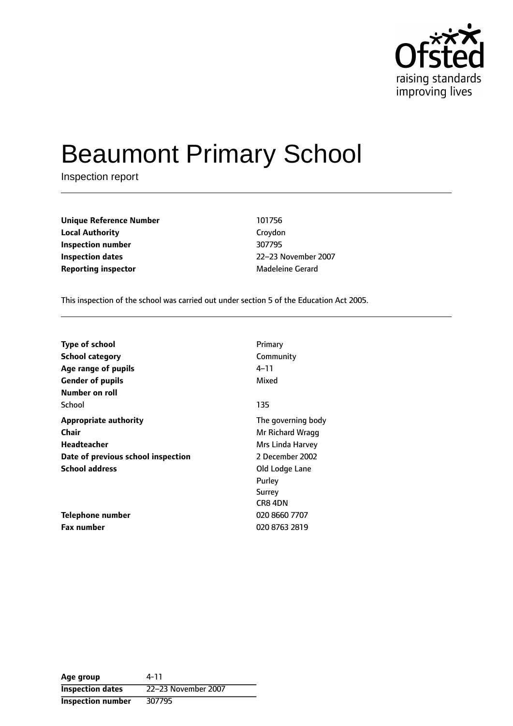

# Beaumont Primary School

Inspection report

**Unique Reference Number** 101756 **Local Authority** Croydon **Inspection number** 307795 **Inspection dates** 22-23 November 2007 **Reporting inspector** Madeleine Gerard

This inspection of the school was carried out under section 5 of the Education Act 2005.

| <b>Type of school</b>              | Primary            |
|------------------------------------|--------------------|
| <b>School category</b>             | Community          |
| Age range of pupils                | 4–11               |
| <b>Gender of pupils</b>            | Mixed              |
| Number on roll                     |                    |
| School                             | 135                |
| <b>Appropriate authority</b>       | The governing body |
| <b>Chair</b>                       | Mr Richard Wragg   |
| Headteacher                        | Mrs Linda Harvey   |
| Date of previous school inspection | 2 December 2002    |
| <b>School address</b>              | Old Lodge Lane     |
|                                    | Purley             |
|                                    | Surrey             |
|                                    | CR8 4DN            |
| Telephone number                   | 020 8660 7707      |
| <b>Fax number</b>                  | 020 8763 2819      |

**Age group** 4-11 **Inspection dates** 22-23 November 2007 **Inspection number** 307795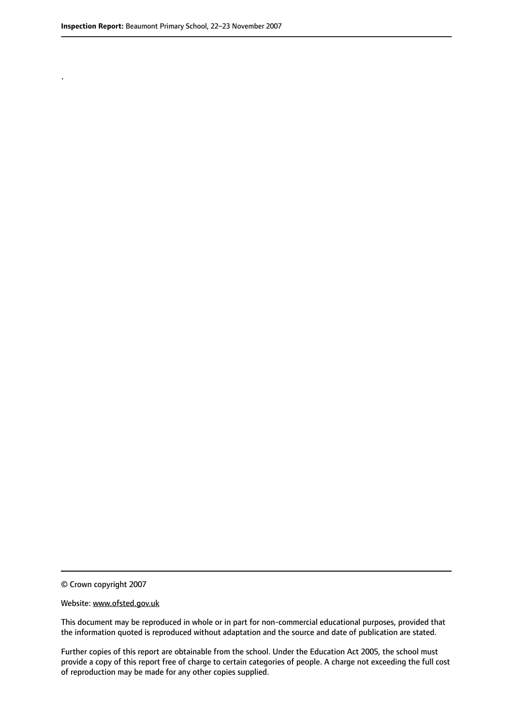.

© Crown copyright 2007

#### Website: www.ofsted.gov.uk

This document may be reproduced in whole or in part for non-commercial educational purposes, provided that the information quoted is reproduced without adaptation and the source and date of publication are stated.

Further copies of this report are obtainable from the school. Under the Education Act 2005, the school must provide a copy of this report free of charge to certain categories of people. A charge not exceeding the full cost of reproduction may be made for any other copies supplied.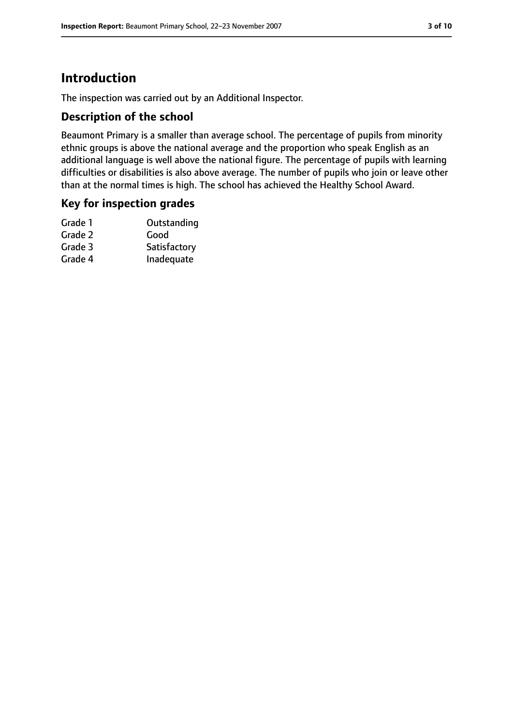# **Introduction**

The inspection was carried out by an Additional Inspector.

## **Description of the school**

Beaumont Primary is a smaller than average school. The percentage of pupils from minority ethnic groups is above the national average and the proportion who speak English as an additional language is well above the national figure. The percentage of pupils with learning difficulties or disabilities is also above average. The number of pupils who join or leave other than at the normal times is high. The school has achieved the Healthy School Award.

## **Key for inspection grades**

| Grade 1 | Outstanding  |
|---------|--------------|
| Grade 2 | Good         |
| Grade 3 | Satisfactory |
| Grade 4 | Inadequate   |
|         |              |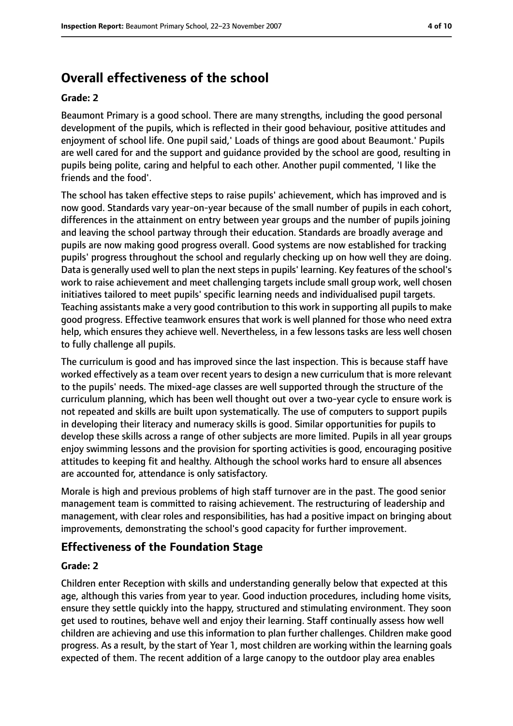# **Overall effectiveness of the school**

#### **Grade: 2**

Beaumont Primary is a good school. There are many strengths, including the good personal development of the pupils, which is reflected in their good behaviour, positive attitudes and enjoyment of school life. One pupil said,' Loads of things are good about Beaumont.' Pupils are well cared for and the support and guidance provided by the school are good, resulting in pupils being polite, caring and helpful to each other. Another pupil commented, 'I like the friends and the food'.

The school has taken effective steps to raise pupils' achievement, which has improved and is now good. Standards vary year-on-year because of the small number of pupils in each cohort, differences in the attainment on entry between year groups and the number of pupils joining and leaving the school partway through their education. Standards are broadly average and pupils are now making good progress overall. Good systems are now established for tracking pupils' progress throughout the school and regularly checking up on how well they are doing. Data is generally used well to plan the next steps in pupils' learning. Key features of the school's work to raise achievement and meet challenging targets include small group work, well chosen initiatives tailored to meet pupils' specific learning needs and individualised pupil targets. Teaching assistants make a very good contribution to this work in supporting all pupils to make good progress. Effective teamwork ensures that work is well planned for those who need extra help, which ensures they achieve well. Nevertheless, in a few lessons tasks are less well chosen to fully challenge all pupils.

The curriculum is good and has improved since the last inspection. This is because staff have worked effectively as a team over recent years to design a new curriculum that is more relevant to the pupils' needs. The mixed-age classes are well supported through the structure of the curriculum planning, which has been well thought out over a two-year cycle to ensure work is not repeated and skills are built upon systematically. The use of computers to support pupils in developing their literacy and numeracy skills is good. Similar opportunities for pupils to develop these skills across a range of other subjects are more limited. Pupils in all year groups enjoy swimming lessons and the provision for sporting activities is good, encouraging positive attitudes to keeping fit and healthy. Although the school works hard to ensure all absences are accounted for, attendance is only satisfactory.

Morale is high and previous problems of high staff turnover are in the past. The good senior management team is committed to raising achievement. The restructuring of leadership and management, with clear roles and responsibilities, has had a positive impact on bringing about improvements, demonstrating the school's good capacity for further improvement.

### **Effectiveness of the Foundation Stage**

#### **Grade: 2**

Children enter Reception with skills and understanding generally below that expected at this age, although this varies from year to year. Good induction procedures, including home visits, ensure they settle quickly into the happy, structured and stimulating environment. They soon get used to routines, behave well and enjoy their learning. Staff continually assess how well children are achieving and use this information to plan further challenges. Children make good progress. As a result, by the start of Year 1, most children are working within the learning goals expected of them. The recent addition of a large canopy to the outdoor play area enables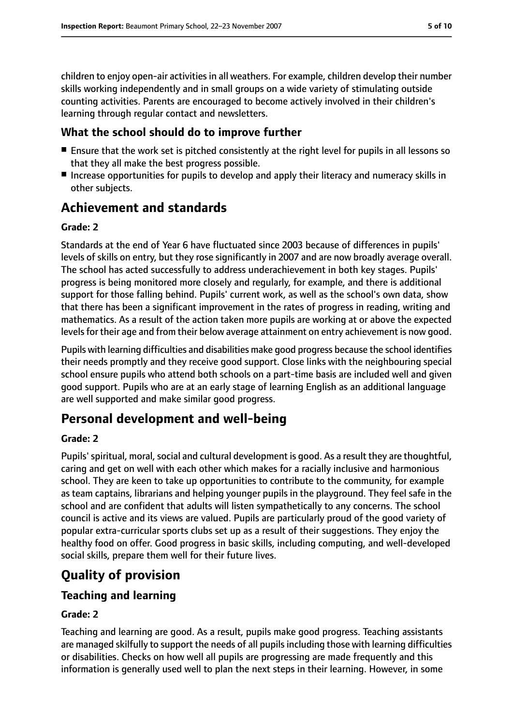children to enjoy open-air activities in all weathers. For example, children develop their number skills working independently and in small groups on a wide variety of stimulating outside counting activities. Parents are encouraged to become actively involved in their children's learning through regular contact and newsletters.

### **What the school should do to improve further**

- Ensure that the work set is pitched consistently at the right level for pupils in all lessons so that they all make the best progress possible.
- Increase opportunities for pupils to develop and apply their literacy and numeracy skills in other subjects.

## **Achievement and standards**

#### **Grade: 2**

Standards at the end of Year 6 have fluctuated since 2003 because of differences in pupils' levels of skills on entry, but they rose significantly in 2007 and are now broadly average overall. The school has acted successfully to address underachievement in both key stages. Pupils' progress is being monitored more closely and regularly, for example, and there is additional support for those falling behind. Pupils' current work, as well as the school's own data, show that there has been a significant improvement in the rates of progress in reading, writing and mathematics. As a result of the action taken more pupils are working at or above the expected levels for their age and from their below average attainment on entry achievement is now good.

Pupils with learning difficulties and disabilities make good progress because the school identifies their needs promptly and they receive good support. Close links with the neighbouring special school ensure pupils who attend both schools on a part-time basis are included well and given good support. Pupils who are at an early stage of learning English as an additional language are well supported and make similar good progress.

## **Personal development and well-being**

#### **Grade: 2**

Pupils' spiritual, moral, social and cultural development is good. As a result they are thoughtful, caring and get on well with each other which makes for a racially inclusive and harmonious school. They are keen to take up opportunities to contribute to the community, for example as team captains, librarians and helping younger pupils in the playground. They feel safe in the school and are confident that adults will listen sympathetically to any concerns. The school council is active and its views are valued. Pupils are particularly proud of the good variety of popular extra-curricular sports clubs set up as a result of their suggestions. They enjoy the healthy food on offer. Good progress in basic skills, including computing, and well-developed social skills, prepare them well for their future lives.

# **Quality of provision**

### **Teaching and learning**

#### **Grade: 2**

Teaching and learning are good. As a result, pupils make good progress. Teaching assistants are managed skilfully to support the needs of all pupils including those with learning difficulties or disabilities. Checks on how well all pupils are progressing are made frequently and this information is generally used well to plan the next steps in their learning. However, in some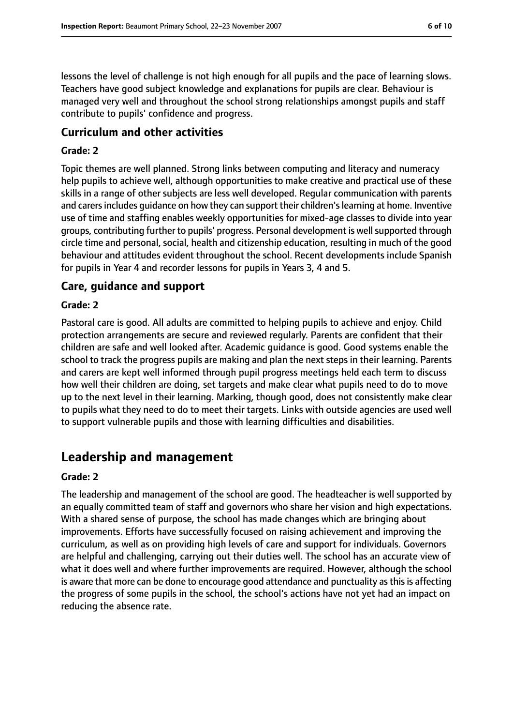lessons the level of challenge is not high enough for all pupils and the pace of learning slows. Teachers have good subject knowledge and explanations for pupils are clear. Behaviour is managed very well and throughout the school strong relationships amongst pupils and staff contribute to pupils' confidence and progress.

#### **Curriculum and other activities**

#### **Grade: 2**

Topic themes are well planned. Strong links between computing and literacy and numeracy help pupils to achieve well, although opportunities to make creative and practical use of these skills in a range of other subjects are less well developed. Regular communication with parents and carersincludes guidance on how they can support their children'slearning at home. Inventive use of time and staffing enables weekly opportunities for mixed-age classes to divide into year groups, contributing further to pupils' progress. Personal development is well supported through circle time and personal, social, health and citizenship education, resulting in much of the good behaviour and attitudes evident throughout the school. Recent developments include Spanish for pupils in Year 4 and recorder lessons for pupils in Years 3, 4 and 5.

#### **Care, guidance and support**

#### **Grade: 2**

Pastoral care is good. All adults are committed to helping pupils to achieve and enjoy. Child protection arrangements are secure and reviewed regularly. Parents are confident that their children are safe and well looked after. Academic guidance is good. Good systems enable the school to track the progress pupils are making and plan the next steps in their learning. Parents and carers are kept well informed through pupil progress meetings held each term to discuss how well their children are doing, set targets and make clear what pupils need to do to move up to the next level in their learning. Marking, though good, does not consistently make clear to pupils what they need to do to meet their targets. Links with outside agencies are used well to support vulnerable pupils and those with learning difficulties and disabilities.

## **Leadership and management**

#### **Grade: 2**

The leadership and management of the school are good. The headteacher is well supported by an equally committed team of staff and governors who share her vision and high expectations. With a shared sense of purpose, the school has made changes which are bringing about improvements. Efforts have successfully focused on raising achievement and improving the curriculum, as well as on providing high levels of care and support for individuals. Governors are helpful and challenging, carrying out their duties well. The school has an accurate view of what it does well and where further improvements are required. However, although the school is aware that more can be done to encourage good attendance and punctuality as this is affecting the progress of some pupils in the school, the school's actions have not yet had an impact on reducing the absence rate.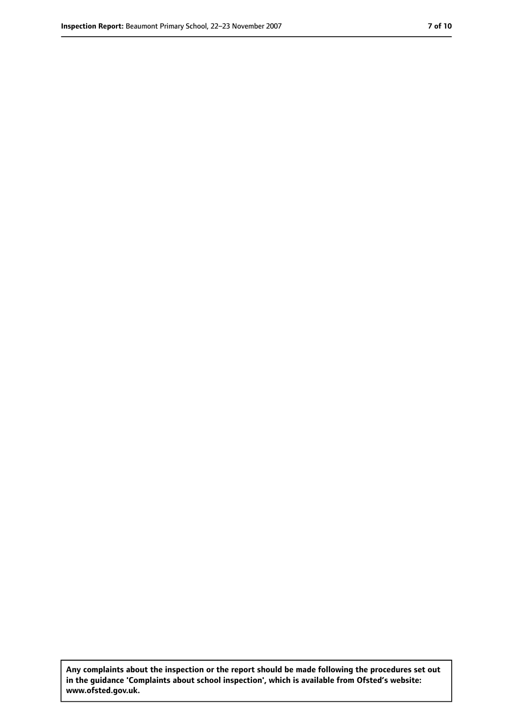**Any complaints about the inspection or the report should be made following the procedures set out in the guidance 'Complaints about school inspection', which is available from Ofsted's website: www.ofsted.gov.uk.**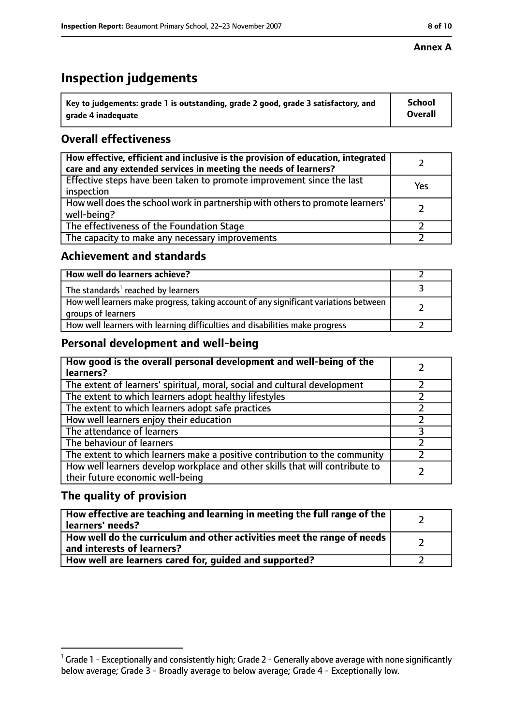# **Inspection judgements**

| $^{\backprime}$ Key to judgements: grade 1 is outstanding, grade 2 good, grade 3 satisfactory, and | <b>School</b>  |
|----------------------------------------------------------------------------------------------------|----------------|
| arade 4 inadeguate                                                                                 | <b>Overall</b> |

## **Overall effectiveness**

| How effective, efficient and inclusive is the provision of education, integrated<br>care and any extended services in meeting the needs of learners? |     |
|------------------------------------------------------------------------------------------------------------------------------------------------------|-----|
| Effective steps have been taken to promote improvement since the last<br>inspection                                                                  | Yes |
| How well does the school work in partnership with others to promote learners'<br>well-being?                                                         |     |
| The effectiveness of the Foundation Stage                                                                                                            |     |
| The capacity to make any necessary improvements                                                                                                      |     |

## **Achievement and standards**

| How well do learners achieve?                                                                               |  |
|-------------------------------------------------------------------------------------------------------------|--|
| The standards <sup>1</sup> reached by learners                                                              |  |
| How well learners make progress, taking account of any significant variations between<br>groups of learners |  |
| How well learners with learning difficulties and disabilities make progress                                 |  |

## **Personal development and well-being**

| How good is the overall personal development and well-being of the<br>learners?                                  |  |
|------------------------------------------------------------------------------------------------------------------|--|
| The extent of learners' spiritual, moral, social and cultural development                                        |  |
| The extent to which learners adopt healthy lifestyles                                                            |  |
| The extent to which learners adopt safe practices                                                                |  |
| How well learners enjoy their education                                                                          |  |
| The attendance of learners                                                                                       |  |
| The behaviour of learners                                                                                        |  |
| The extent to which learners make a positive contribution to the community                                       |  |
| How well learners develop workplace and other skills that will contribute to<br>their future economic well-being |  |

## **The quality of provision**

| How effective are teaching and learning in meeting the full range of the<br>learners' needs?          |  |
|-------------------------------------------------------------------------------------------------------|--|
| How well do the curriculum and other activities meet the range of needs<br>and interests of learners? |  |
| How well are learners cared for, quided and supported?                                                |  |

 $^1$  Grade 1 - Exceptionally and consistently high; Grade 2 - Generally above average with none significantly below average; Grade 3 - Broadly average to below average; Grade 4 - Exceptionally low.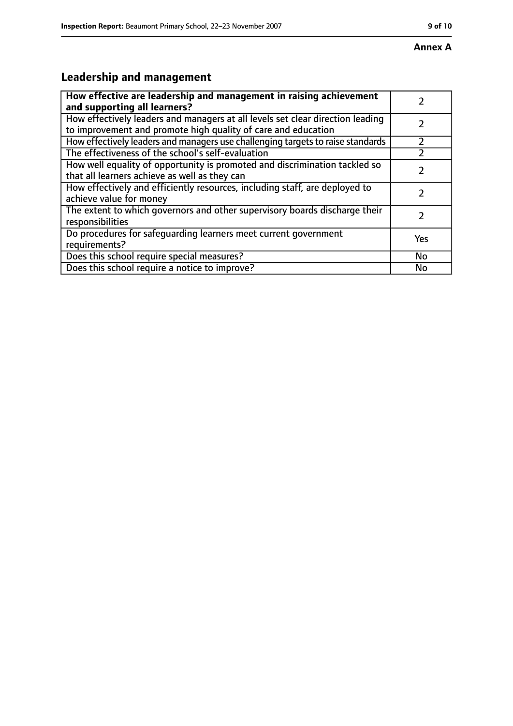# **Leadership and management**

| How effective are leadership and management in raising achievement<br>and supporting all learners?                                              |     |
|-------------------------------------------------------------------------------------------------------------------------------------------------|-----|
| How effectively leaders and managers at all levels set clear direction leading<br>to improvement and promote high quality of care and education |     |
| How effectively leaders and managers use challenging targets to raise standards                                                                 |     |
| The effectiveness of the school's self-evaluation                                                                                               |     |
| How well equality of opportunity is promoted and discrimination tackled so<br>that all learners achieve as well as they can                     |     |
| How effectively and efficiently resources, including staff, are deployed to<br>achieve value for money                                          |     |
| The extent to which governors and other supervisory boards discharge their<br>responsibilities                                                  |     |
| Do procedures for safequarding learners meet current government<br>requirements?                                                                | Yes |
| Does this school require special measures?                                                                                                      | No  |
| Does this school require a notice to improve?                                                                                                   | No  |